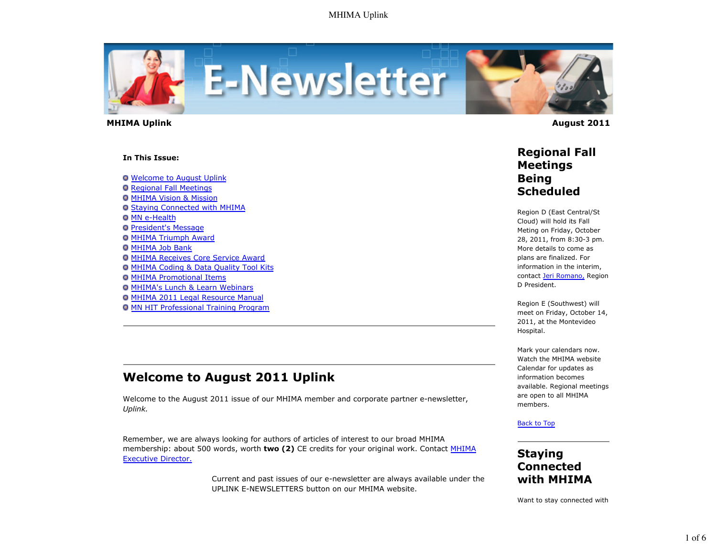

 **MHIMA Uplink August 2011** 

#### **In This Issue:**

Welcome to August Uplink

- **O** Regional Fall Meetings
- **O MHIMA Vision & Mission**
- Staying Connected with MHIMA
- **O** MN e-Health
- **O** President's Message
- MHIMA Triumph Award
- **O MHIMA Job Bank**
- MHIMA Receives Core Service Award
- MHIMA Coding & Data Quality Tool Kits
- **O MHIMA Promotional Items**
- **O MHIMA's Lunch & Learn Webinars**
- MHIMA 2011 Legal Resource Manual
- **O MN HIT Professional Training Program**

# **Welcome to August 2011 Uplink**

Welcome to the August 2011 issue of our MHIMA member and corporate partner e-newsletter, *Uplink.*

Remember, we are always looking for authors of articles of interest to our broad MHIMA membership: about 500 words, worth **two (2)** CE credits for your original work. Contact MHIMA Executive Director.

> Current and past issues of our e-newsletter are always available under the UPLINK E-NEWSLETTERS button on our MHIMA website.

### **Regional Fall Meetings Being Scheduled**

Region D (East Central/St Cloud) will hold its Fall Meting on Friday, October 28, 2011, from 8:30-3 pm. More details to come as plans are finalized. For information in the interim, contact Jeri Romano, Region D President.

Region E (Southwest) will meet on Friday, October 14, 2011, at the Montevideo Hospital.

Mark your calendars now. Watch the MHIMA website Calendar for updates as information becomes available. Regional meetings are open to all MHIMA members.

### Back to Top

### **Staying Connected with MHIMA**

Want to stay connected with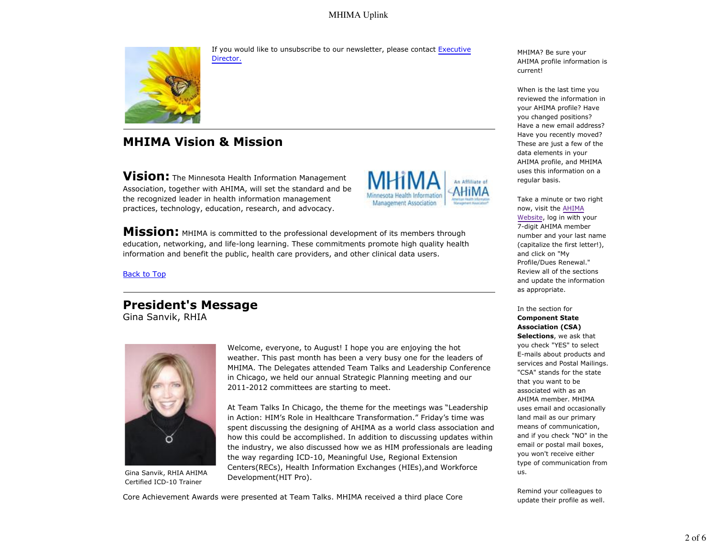### MHIMA Uplink



If you would like to unsubscribe to our newsletter, please contact Executive Director.

# **MHIMA Vision & Mission**

**Vision:** The Minnesota Health Information Management Association, together with AHIMA, will set the standard and be the recognized leader in health information management practices, technology, education, research, and advocacy.



**Mission:** MHIMA is committed to the professional development of its members through education, networking, and life-long learning. These commitments promote high quality health information and benefit the public, health care providers, and other clinical data users.

Back to Top

### **President's Message** Gina Sanvik, RHIA



Gina Sanvik, RHIA AHIMA Certified ICD-10 Trainer

Welcome, everyone, to August! I hope you are enjoying the hot weather. This past month has been a very busy one for the leaders of MHIMA. The Delegates attended Team Talks and Leadership Conference in Chicago, we held our annual Strategic Planning meeting and our 2011-2012 committees are starting to meet.

At Team Talks In Chicago, the theme for the meetings was "Leadership in Action: HIM's Role in Healthcare Transformation." Friday's time was spent discussing the designing of AHIMA as a world class association and how this could be accomplished. In addition to discussing updates within the industry, we also discussed how we as HIM professionals are leading the way regarding ICD-10, Meaningful Use, Regional Extension Centers(RECs), Health Information Exchanges (HIEs),and Workforce Development(HIT Pro).

Core Achievement Awards were presented at Team Talks. MHIMA received a third place Core

MHIMA? Be sure your AHIMA profile information is current!

When is the last time you reviewed the information in your AHIMA profile? Have you changed positions? Have a new email address? Have you recently moved? These are just a few of the data elements in your AHIMA profile, and MHIMA uses this information on a regular basis.

Take a minute or two right now, visit the AHIMA Website, log in with your 7-digit AHIMA member number and your last name (capitalize the first letter!), and click on "My Profile/Dues Renewal." Review all of the sections and update the information as appropriate.

In the section for **Component State Association (CSA) Selections**, we ask that you check "YES" to select E-mails about products and services and Postal Mailings. "CSA" stands for the state that you want to be associated with as an AHIMA member. MHIMA uses email and occasionally land mail as our primary means of communication, and if you check "NO" in the email or postal mail boxes, you won't receive either type of communication from us.

Remind your colleagues to update their profile as well.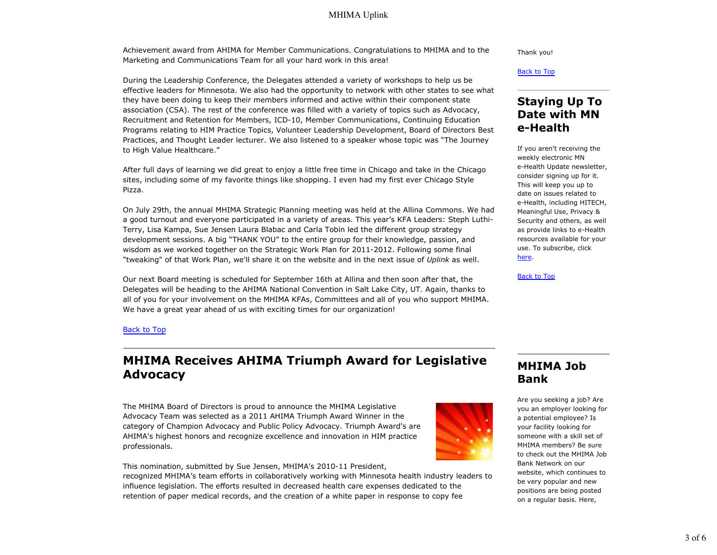### MHIMA Uplink

Achievement award from AHIMA for Member Communications. Congratulations to MHIMA and to the Marketing and Communications Team for all your hard work in this area!

During the Leadership Conference, the Delegates attended a variety of workshops to help us be effective leaders for Minnesota. We also had the opportunity to network with other states to see what they have been doing to keep their members informed and active within their component state association (CSA). The rest of the conference was filled with a variety of topics such as Advocacy, Recruitment and Retention for Members, ICD-10, Member Communications, Continuing Education Programs relating to HIM Practice Topics, Volunteer Leadership Development, Board of Directors Best Practices, and Thought Leader lecturer. We also listened to a speaker whose topic was "The Journey to High Value Healthcare."

After full days of learning we did great to enjoy a little free time in Chicago and take in the Chicago sites, including some of my favorite things like shopping. I even had my first ever Chicago Style Pizza.

On July 29th, the annual MHIMA Strategic Planning meeting was held at the Allina Commons. We had a good turnout and everyone participated in a variety of areas. This year's KFA Leaders: Steph Luthi-Terry, Lisa Kampa, Sue Jensen Laura Blabac and Carla Tobin led the different group strategy development sessions. A big "THANK YOU" to the entire group for their knowledge, passion, and wisdom as we worked together on the Strategic Work Plan for 2011-2012. Following some final "tweaking" of that Work Plan, we'll share it on the website and in the next issue of *Uplink* as well.

Our next Board meeting is scheduled for September 16th at Allina and then soon after that, the Delegates will be heading to the AHIMA National Convention in Salt Lake City, UT. Again, thanks to all of you for your involvement on the MHIMA KFAs, Committees and all of you who support MHIMA. We have a great year ahead of us with exciting times for our organization!

Thank you!

Back to Top

## **Staying Up To Date with MN e-Health**

If you aren't receiving the weekly electronic MN e-Health Update newsletter, consider signing up for it. This will keep you up to date on issues related to e-Health, including HITECH, Meaningful Use, Privacy & Security and others, as well as provide links to e-Health resources available for your use. To subscribe, click here.

Back to Top

#### Back to Top

# **MHIMA Receives AHIMA Triumph Award for Legislative Advocacy**

The MHIMA Board of Directors is proud to announce the MHIMA Legislative Advocacy Team was selected as a 2011 AHIMA Triumph Award Winner in the category of Champion Advocacy and Public Policy Advocacy. Triumph Award's are AHIMA's highest honors and recognize excellence and innovation in HIM practice professionals.

This nomination, submitted by Sue Jensen, MHIMA's 2010-11 President,

recognized MHIMA's team efforts in collaboratively working with Minnesota health industry leaders to influence legislation. The efforts resulted in decreased health care expenses dedicated to the retention of paper medical records, and the creation of a white paper in response to copy fee

## **MHIMA Job Bank**

Are you seeking a job? Are you an employer looking for a potential employee? Is your facility looking for someone with a skill set of MHIMA members? Be sure to check out the MHIMA Job Bank Network on our website, which continues to be very popular and new positions are being posted on a regular basis. Here,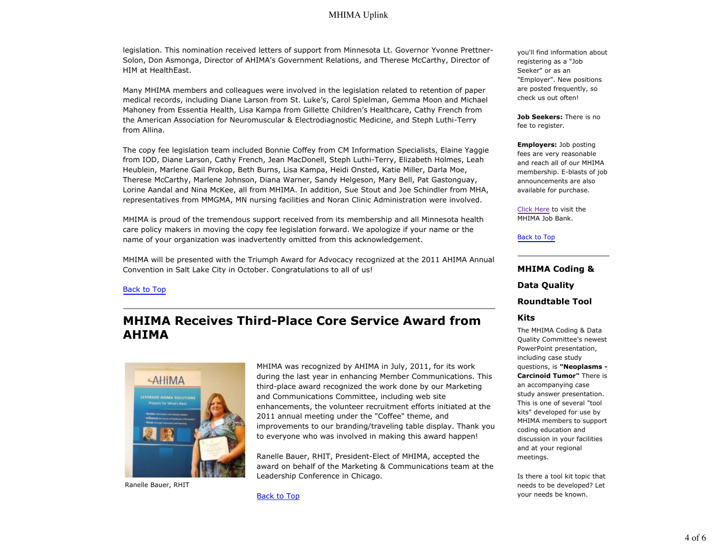### MHIMA Uplink

legislation. This nomination received letters of support from Minnesota Lt. Governor Yvonne Prettner-Solon, Don Asmonga, Director of AHIMA's Government Relations, and Therese McCarthy, Director of HIM at HealthEast.

Many MHIMA members and colleagues were involved in the legislation related to retention of paper medical records, including Diane Larson from St. Luke's, Carol Spielman, Gemma Moon and Michael Mahoney from Essentia Health, Lisa Kampa from Gillette Children's Healthcare, Cathy French from the American Association for Neuromuscular & Electrodiagnostic Medicine, and Steph Luthi-Terry from Allina.

The copy fee legislation team included Bonnie Coffey from CM Information Specialists, Elaine Yaggie from IOD, Diane Larson, Cathy French, Jean MacDonell, Steph Luthi-Terry, Elizabeth Holmes, Leah Heublein, Marlene Gail Prokop, Beth Burns, Lisa Kampa, Heidi Onsted, Katie Miller, Darla Moe, Therese McCarthy, Marlene Johnson, Diana Warner, Sandy Helgeson, Mary Bell, Pat Gastonguay, Lorine Aandal and Nina McKee, all from MHIMA. In addition, Sue Stout and Joe Schindler from MHA, representatives from MMGMA, MN nursing facilities and Noran Clinic Administration were involved.

MHIMA is proud of the tremendous support received from its membership and all Minnesota health care policy makers in moving the copy fee legislation forward. We apologize if your name or the name of your organization was inadvertently omitted from this acknowledgement.

MHIMA will be presented with the Triumph Award for Advocacy recognized at the 2011 AHIMA Annual Convention in Salt Lake City in October. Congratulations to all of us!

#### Back to Top

## **MHIMA Receives Third-Place Core Service Award from AHIMA**



Ranelle Bauer, RHIT

MHIMA was recognized by AHIMA in July, 2011, for its work during the last year in enhancing Member Communications. This third-place award recognized the work done by our Marketing and Communications Committee, including web site enhancements, the volunteer recruitment efforts initiated at the 2011 annual meeting under the "Coffee" theme, and improvements to our branding/traveling table display. Thank you to everyone who was involved in making this award happen!

Ranelle Bauer, RHIT, President-Elect of MHIMA, accepted the award on behalf of the Marketing & Communications team at the Leadership Conference in Chicago.

Back to Top

you'll find information about registering as a "Job Seeker" or as an "Employer". New positions are posted frequently, so check us out often!

**Job Seekers:** There is no fee to register.

**Employers:** Job posting fees are very reasonable and reach all of our MHIMA membership. E-blasts of job announcements are also available for purchase.

Click Here to visit the MHIMA Job Bank.

#### Back to Top

### **MHIMA Coding & Data Quality**

**Roundtable Tool**

#### **Kits**

The MHIMA Coding & Data Quality Committee's newest PowerPoint presentation, including case study questions, is **"Neoplasms - Carcinoid Tumor"** There is an accompanying case study answer presentation. This is one of several "tool kits" developed for use by MHIMA members to support coding education and discussion in your facilities and at your regional meetings.

Is there a tool kit topic that needs to be developed? Let your needs be known.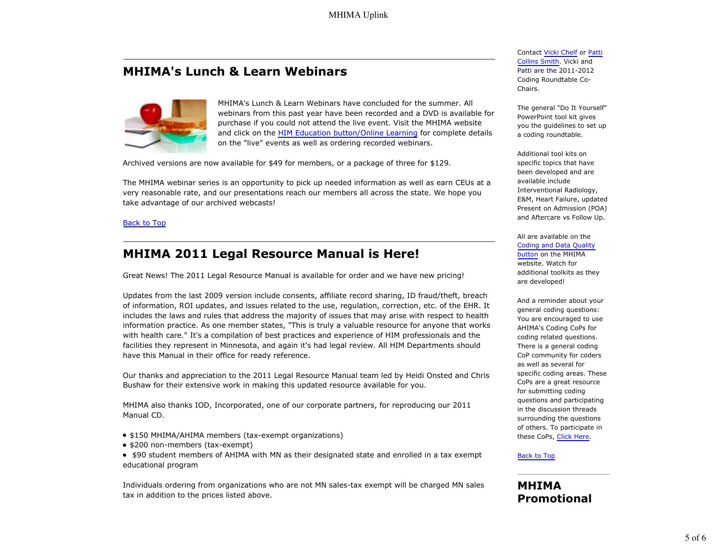# **MHIMA's Lunch & Learn Webinars**



MHIMA's Lunch & Learn Webinars have concluded for the summer. All webinars from this past year have been recorded and a DVD is available for purchase if you could not attend the live event. Visit the MHIMA website and click on the HIM Education button/Online Learning for complete details on the "live" events as well as ordering recorded webinars.

Archived versions are now available for \$49 for members, or a package of three for \$129.

The MHIMA webinar series is an opportunity to pick up needed information as well as earn CEUs at a very reasonable rate, and our presentations reach our members all across the state. We hope you take advantage of our archived webcasts!

#### Back to Top

### **MHIMA 2011 Legal Resource Manual is Here!**

Great News! The 2011 Legal Resource Manual is available for order and we have new pricing!

Updates from the last 2009 version include consents, affiliate record sharing, ID fraud/theft, breach of information, ROI updates, and issues related to the use, regulation, correction, etc. of the EHR. It includes the laws and rules that address the majority of issues that may arise with respect to health information practice. As one member states, "This is truly a valuable resource for anyone that works with health care." It's a compilation of best practices and experience of HIM professionals and the facilities they represent in Minnesota, and again it's had legal review. All HIM Departments should have this Manual in their office for ready reference.

Our thanks and appreciation to the 2011 Legal Resource Manual team led by Heidi Onsted and Chris Bushaw for their extensive work in making this updated resource available for you.

MHIMA also thanks IOD, Incorporated, one of our corporate partners, for reproducing our 2011 Manual CD.

- \$150 MHIMA/AHIMA members (tax-exempt organizations)
- \$200 non-members (tax-exempt)

• \$90 student members of AHIMA with MN as their designated state and enrolled in a tax exempt educational program

Individuals ordering from organizations who are not MN sales-tax exempt will be charged MN sales tax in addition to the prices listed above.

Contact Vicki Chelf or Patti Collins Smith. Vicki and Patti are the 2011-2012 Coding Roundtable Co-Chairs.

The general "Do It Yourself" PowerPoint tool kit gives you the guidelines to set up a coding roundtable.

Additional tool kits on specific topics that have been developed and are available include Interventional Radiology, E&M, Heart Failure, updated Present on Admission (POA) and Aftercare vs Follow Up.

All are available on the Coding and Data Quality button on the MHIMA website. Watch for additional toolkits as they are developed!

And a reminder about your general coding questions: You are encouraged to use AHIMA's Coding CoPs for coding related questions. There is a general coding CoP community for coders as well as several for specific coding areas. These CoPs are a great resource for submitting coding questions and participating in the discussion threads surrounding the questions of others. To participate in these CoPs, Click Here.

#### Back to Top

### **MHIMA Promotional**